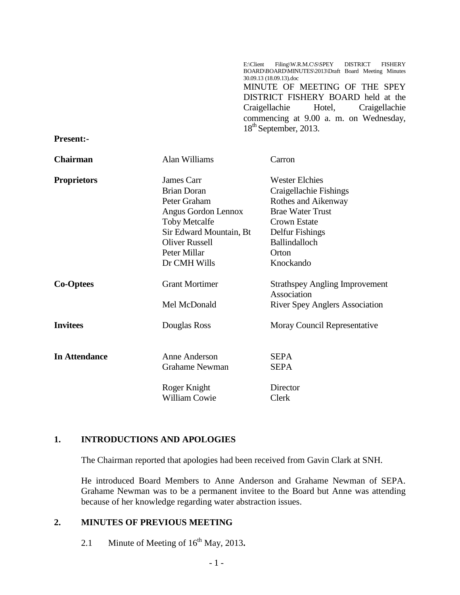E:\Client Filing\W.R.M.C\S\SPEY DISTRICT FISHERY BOARD\BOARD\MINUTES\2013\Draft Board Meeting Minutes 30.09.13 (18.09.13).doc MINUTE OF MEETING OF THE SPEY DISTRICT FISHERY BOARD held at the Craigellachie Hotel, Craigellachie commencing at 9.00 a. m. on Wednesday, 18<sup>th</sup> September, 2013.

**Present:-**

| <b>Chairman</b>      | Alan Williams           | Carron                                               |
|----------------------|-------------------------|------------------------------------------------------|
| <b>Proprietors</b>   | James Carr              | <b>Wester Elchies</b>                                |
|                      | <b>Brian Doran</b>      | Craigellachie Fishings                               |
|                      | Peter Graham            | Rothes and Aikenway                                  |
|                      | Angus Gordon Lennox     | <b>Brae Water Trust</b>                              |
|                      | <b>Toby Metcalfe</b>    | Crown Estate                                         |
|                      | Sir Edward Mountain, Bt | Delfur Fishings                                      |
|                      | <b>Oliver Russell</b>   | Ballindalloch                                        |
|                      | Peter Millar            | Orton                                                |
|                      | Dr CMH Wills            | Knockando                                            |
| <b>Co-Optees</b>     | <b>Grant Mortimer</b>   | <b>Strathspey Angling Improvement</b><br>Association |
|                      | Mel McDonald            | <b>River Spey Anglers Association</b>                |
| <b>Invitees</b>      | Douglas Ross            | Moray Council Representative                         |
| <b>In Attendance</b> | Anne Anderson           | <b>SEPA</b>                                          |
|                      | <b>Grahame Newman</b>   | <b>SEPA</b>                                          |
|                      | Roger Knight            | Director                                             |
|                      | <b>William Cowie</b>    | Clerk                                                |

#### **1. INTRODUCTIONS AND APOLOGIES**

The Chairman reported that apologies had been received from Gavin Clark at SNH.

He introduced Board Members to Anne Anderson and Grahame Newman of SEPA. Grahame Newman was to be a permanent invitee to the Board but Anne was attending because of her knowledge regarding water abstraction issues.

#### **2. MINUTES OF PREVIOUS MEETING**

2.1 Minute of Meeting of  $16<sup>th</sup>$  May, 2013.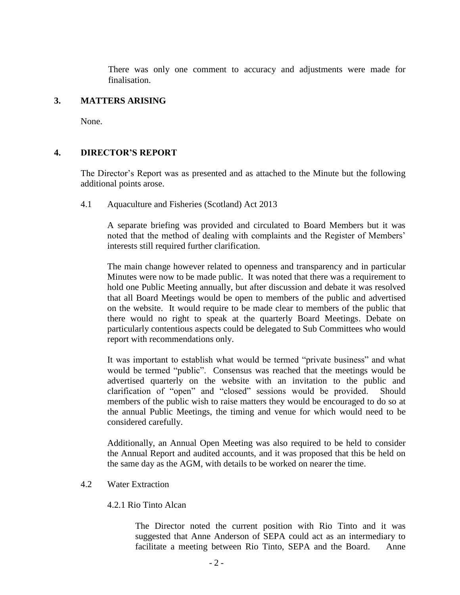There was only one comment to accuracy and adjustments were made for finalisation.

#### **3. MATTERS ARISING**

None.

#### **4. DIRECTOR'S REPORT**

The Director's Report was as presented and as attached to the Minute but the following additional points arose.

4.1 Aquaculture and Fisheries (Scotland) Act 2013

A separate briefing was provided and circulated to Board Members but it was noted that the method of dealing with complaints and the Register of Members' interests still required further clarification.

The main change however related to openness and transparency and in particular Minutes were now to be made public. It was noted that there was a requirement to hold one Public Meeting annually, but after discussion and debate it was resolved that all Board Meetings would be open to members of the public and advertised on the website. It would require to be made clear to members of the public that there would no right to speak at the quarterly Board Meetings. Debate on particularly contentious aspects could be delegated to Sub Committees who would report with recommendations only.

It was important to establish what would be termed "private business" and what would be termed "public". Consensus was reached that the meetings would be advertised quarterly on the website with an invitation to the public and clarification of "open" and "closed" sessions would be provided. Should members of the public wish to raise matters they would be encouraged to do so at the annual Public Meetings, the timing and venue for which would need to be considered carefully.

Additionally, an Annual Open Meeting was also required to be held to consider the Annual Report and audited accounts, and it was proposed that this be held on the same day as the AGM, with details to be worked on nearer the time.

#### 4.2 Water Extraction

#### 4.2.1 Rio Tinto Alcan

The Director noted the current position with Rio Tinto and it was suggested that Anne Anderson of SEPA could act as an intermediary to facilitate a meeting between Rio Tinto, SEPA and the Board. Anne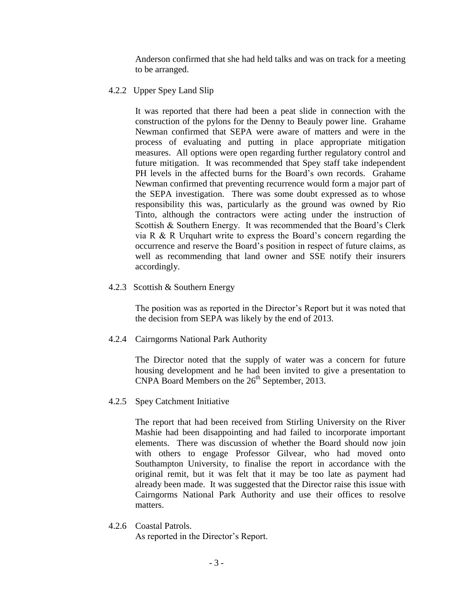Anderson confirmed that she had held talks and was on track for a meeting to be arranged.

4.2.2 Upper Spey Land Slip

It was reported that there had been a peat slide in connection with the construction of the pylons for the Denny to Beauly power line. Grahame Newman confirmed that SEPA were aware of matters and were in the process of evaluating and putting in place appropriate mitigation measures. All options were open regarding further regulatory control and future mitigation. It was recommended that Spey staff take independent PH levels in the affected burns for the Board's own records. Grahame Newman confirmed that preventing recurrence would form a major part of the SEPA investigation. There was some doubt expressed as to whose responsibility this was, particularly as the ground was owned by Rio Tinto, although the contractors were acting under the instruction of Scottish & Southern Energy. It was recommended that the Board's Clerk via R & R Urquhart write to express the Board's concern regarding the occurrence and reserve the Board's position in respect of future claims, as well as recommending that land owner and SSE notify their insurers accordingly.

4.2.3 Scottish & Southern Energy

The position was as reported in the Director's Report but it was noted that the decision from SEPA was likely by the end of 2013.

4.2.4 Cairngorms National Park Authority

The Director noted that the supply of water was a concern for future housing development and he had been invited to give a presentation to  $CNPA$  Board Members on the  $26<sup>th</sup>$  September, 2013.

4.2.5 Spey Catchment Initiative

The report that had been received from Stirling University on the River Mashie had been disappointing and had failed to incorporate important elements. There was discussion of whether the Board should now join with others to engage Professor Gilvear, who had moved onto Southampton University, to finalise the report in accordance with the original remit, but it was felt that it may be too late as payment had already been made. It was suggested that the Director raise this issue with Cairngorms National Park Authority and use their offices to resolve matters.

4.2.6 Coastal Patrols.

As reported in the Director's Report.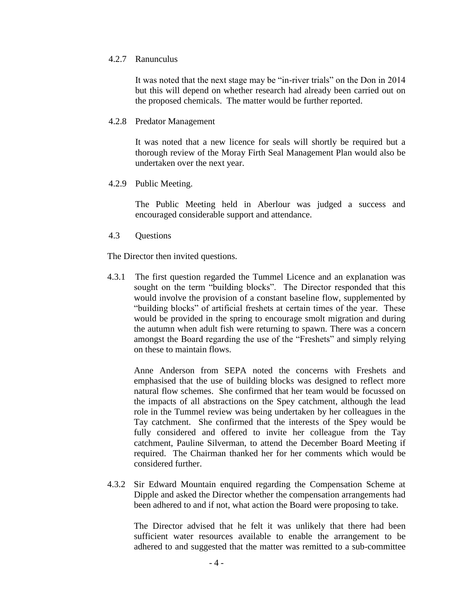#### 4.2.7 Ranunculus

It was noted that the next stage may be "in-river trials" on the Don in 2014 but this will depend on whether research had already been carried out on the proposed chemicals. The matter would be further reported.

#### 4.2.8 Predator Management

It was noted that a new licence for seals will shortly be required but a thorough review of the Moray Firth Seal Management Plan would also be undertaken over the next year.

#### 4.2.9 Public Meeting.

The Public Meeting held in Aberlour was judged a success and encouraged considerable support and attendance.

4.3 Questions

The Director then invited questions.

4.3.1 The first question regarded the Tummel Licence and an explanation was sought on the term "building blocks". The Director responded that this would involve the provision of a constant baseline flow, supplemented by "building blocks" of artificial freshets at certain times of the year. These would be provided in the spring to encourage smolt migration and during the autumn when adult fish were returning to spawn. There was a concern amongst the Board regarding the use of the "Freshets" and simply relying on these to maintain flows.

Anne Anderson from SEPA noted the concerns with Freshets and emphasised that the use of building blocks was designed to reflect more natural flow schemes. She confirmed that her team would be focussed on the impacts of all abstractions on the Spey catchment, although the lead role in the Tummel review was being undertaken by her colleagues in the Tay catchment. She confirmed that the interests of the Spey would be fully considered and offered to invite her colleague from the Tay catchment, Pauline Silverman, to attend the December Board Meeting if required. The Chairman thanked her for her comments which would be considered further.

4.3.2 Sir Edward Mountain enquired regarding the Compensation Scheme at Dipple and asked the Director whether the compensation arrangements had been adhered to and if not, what action the Board were proposing to take.

The Director advised that he felt it was unlikely that there had been sufficient water resources available to enable the arrangement to be adhered to and suggested that the matter was remitted to a sub-committee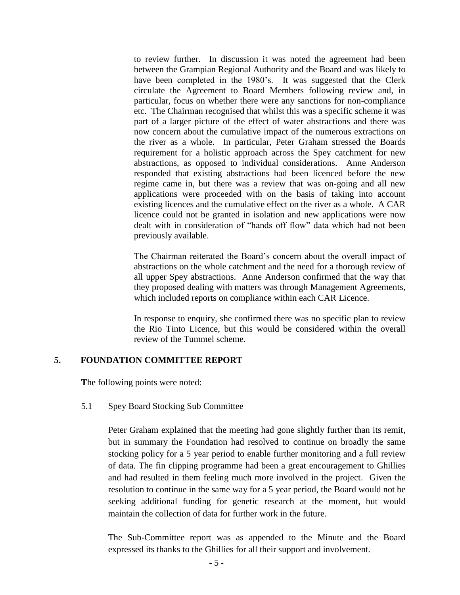to review further. In discussion it was noted the agreement had been between the Grampian Regional Authority and the Board and was likely to have been completed in the 1980's. It was suggested that the Clerk circulate the Agreement to Board Members following review and, in particular, focus on whether there were any sanctions for non-compliance etc. The Chairman recognised that whilst this was a specific scheme it was part of a larger picture of the effect of water abstractions and there was now concern about the cumulative impact of the numerous extractions on the river as a whole. In particular, Peter Graham stressed the Boards requirement for a holistic approach across the Spey catchment for new abstractions, as opposed to individual considerations. Anne Anderson responded that existing abstractions had been licenced before the new regime came in, but there was a review that was on-going and all new applications were proceeded with on the basis of taking into account existing licences and the cumulative effect on the river as a whole. A CAR licence could not be granted in isolation and new applications were now dealt with in consideration of "hands off flow" data which had not been previously available.

The Chairman reiterated the Board's concern about the overall impact of abstractions on the whole catchment and the need for a thorough review of all upper Spey abstractions. Anne Anderson confirmed that the way that they proposed dealing with matters was through Management Agreements, which included reports on compliance within each CAR Licence.

In response to enquiry, she confirmed there was no specific plan to review the Rio Tinto Licence, but this would be considered within the overall review of the Tummel scheme.

#### **5. FOUNDATION COMMITTEE REPORT**

**T**he following points were noted:

## 5.1 Spey Board Stocking Sub Committee

Peter Graham explained that the meeting had gone slightly further than its remit, but in summary the Foundation had resolved to continue on broadly the same stocking policy for a 5 year period to enable further monitoring and a full review of data. The fin clipping programme had been a great encouragement to Ghillies and had resulted in them feeling much more involved in the project. Given the resolution to continue in the same way for a 5 year period, the Board would not be seeking additional funding for genetic research at the moment, but would maintain the collection of data for further work in the future.

The Sub-Committee report was as appended to the Minute and the Board expressed its thanks to the Ghillies for all their support and involvement.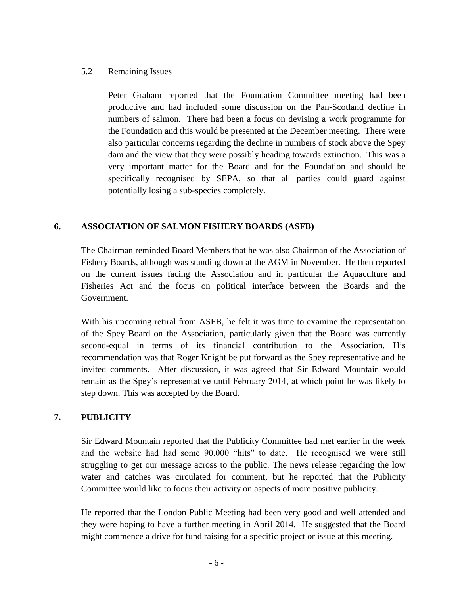#### 5.2 Remaining Issues

Peter Graham reported that the Foundation Committee meeting had been productive and had included some discussion on the Pan-Scotland decline in numbers of salmon. There had been a focus on devising a work programme for the Foundation and this would be presented at the December meeting. There were also particular concerns regarding the decline in numbers of stock above the Spey dam and the view that they were possibly heading towards extinction. This was a very important matter for the Board and for the Foundation and should be specifically recognised by SEPA, so that all parties could guard against potentially losing a sub-species completely.

## **6. ASSOCIATION OF SALMON FISHERY BOARDS (ASFB)**

The Chairman reminded Board Members that he was also Chairman of the Association of Fishery Boards, although was standing down at the AGM in November. He then reported on the current issues facing the Association and in particular the Aquaculture and Fisheries Act and the focus on political interface between the Boards and the Government.

With his upcoming retiral from ASFB, he felt it was time to examine the representation of the Spey Board on the Association, particularly given that the Board was currently second-equal in terms of its financial contribution to the Association. His recommendation was that Roger Knight be put forward as the Spey representative and he invited comments. After discussion, it was agreed that Sir Edward Mountain would remain as the Spey's representative until February 2014, at which point he was likely to step down. This was accepted by the Board.

# **7. PUBLICITY**

Sir Edward Mountain reported that the Publicity Committee had met earlier in the week and the website had had some 90,000 "hits" to date. He recognised we were still struggling to get our message across to the public. The news release regarding the low water and catches was circulated for comment, but he reported that the Publicity Committee would like to focus their activity on aspects of more positive publicity.

He reported that the London Public Meeting had been very good and well attended and they were hoping to have a further meeting in April 2014. He suggested that the Board might commence a drive for fund raising for a specific project or issue at this meeting.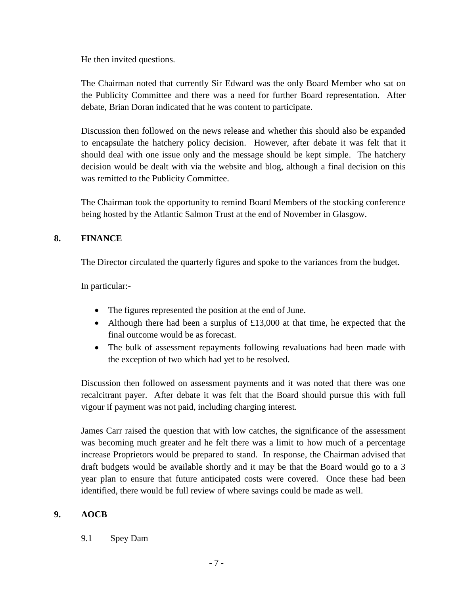He then invited questions.

The Chairman noted that currently Sir Edward was the only Board Member who sat on the Publicity Committee and there was a need for further Board representation. After debate, Brian Doran indicated that he was content to participate.

Discussion then followed on the news release and whether this should also be expanded to encapsulate the hatchery policy decision. However, after debate it was felt that it should deal with one issue only and the message should be kept simple. The hatchery decision would be dealt with via the website and blog, although a final decision on this was remitted to the Publicity Committee.

The Chairman took the opportunity to remind Board Members of the stocking conference being hosted by the Atlantic Salmon Trust at the end of November in Glasgow.

## **8. FINANCE**

The Director circulated the quarterly figures and spoke to the variances from the budget.

In particular:-

- The figures represented the position at the end of June.
- Although there had been a surplus of £13,000 at that time, he expected that the final outcome would be as forecast.
- The bulk of assessment repayments following revaluations had been made with the exception of two which had yet to be resolved.

Discussion then followed on assessment payments and it was noted that there was one recalcitrant payer. After debate it was felt that the Board should pursue this with full vigour if payment was not paid, including charging interest.

James Carr raised the question that with low catches, the significance of the assessment was becoming much greater and he felt there was a limit to how much of a percentage increase Proprietors would be prepared to stand. In response, the Chairman advised that draft budgets would be available shortly and it may be that the Board would go to a 3 year plan to ensure that future anticipated costs were covered. Once these had been identified, there would be full review of where savings could be made as well.

## **9. AOCB**

9.1 Spey Dam